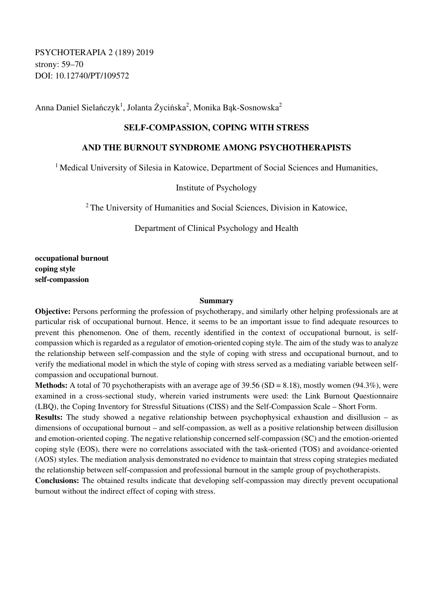Anna Daniel Sielańczyk<sup>1</sup>, Jolanta Życińska<sup>2</sup>, Monika Bąk-Sosnowska<sup>2</sup>

## **SELF-COMPASSION, COPING WITH STRESS**

## **AND THE BURNOUT SYNDROME AMONG PSYCHOTHERAPISTS**

<sup>1</sup> Medical University of Silesia in Katowice, Department of Social Sciences and Humanities,

Institute of Psychology

<sup>2</sup> The University of Humanities and Social Sciences, Division in Katowice,

Department of Clinical Psychology and Health

**occupational burnout coping style self-compassion** 

## **Summary**

**Objective:** Persons performing the profession of psychotherapy, and similarly other helping professionals are at particular risk of occupational burnout. Hence, it seems to be an important issue to find adequate resources to prevent this phenomenon. One of them, recently identified in the context of occupational burnout, is selfcompassion which is regarded as a regulator of emotion-oriented coping style. The aim of the study was to analyze the relationship between self-compassion and the style of coping with stress and occupational burnout, and to verify the mediational model in which the style of coping with stress served as a mediating variable between selfcompassion and occupational burnout.

**Methods:** A total of 70 psychotherapists with an average age of 39.56 (SD = 8.18), mostly women (94.3%), were examined in a cross-sectional study, wherein varied instruments were used: the Link Burnout Questionnaire (LBQ), the Coping Inventory for Stressful Situations (CISS) and the Self-Compassion Scale – Short Form.

**Results:** The study showed a negative relationship between psychophysical exhaustion and disillusion – as dimensions of occupational burnout – and self-compassion, as well as a positive relationship between disillusion and emotion-oriented coping. The negative relationship concerned self-compassion (SC) and the emotion-oriented coping style (EOS), there were no correlations associated with the task-oriented (TOS) and avoidance-oriented (AOS) styles. The mediation analysis demonstrated no evidence to maintain that stress coping strategies mediated the relationship between self-compassion and professional burnout in the sample group of psychotherapists.

**Conclusions:** The obtained results indicate that developing self-compassion may directly prevent occupational burnout without the indirect effect of coping with stress.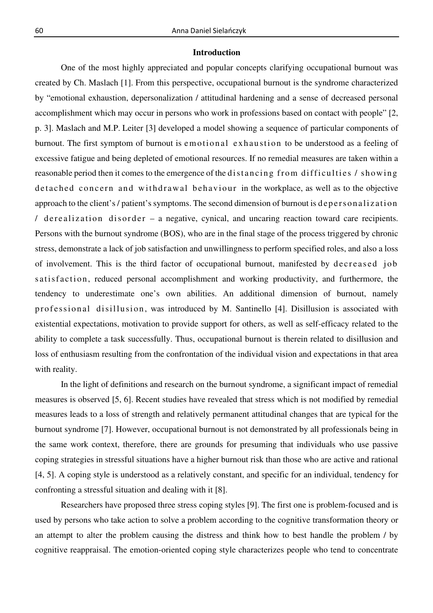## **Introduction**

One of the most highly appreciated and popular concepts clarifying occupational burnout was created by Ch. Maslach [1]. From this perspective, occupational burnout is the syndrome characterized by "emotional exhaustion, depersonalization / attitudinal hardening and a sense of decreased personal accomplishment which may occur in persons who work in professions based on contact with people" [2, p. 3]. Maslach and M.P. Leiter [3] developed a model showing a sequence of particular components of burnout. The first symptom of burnout is emotional exhaustion to be understood as a feeling of excessive fatigue and being depleted of emotional resources. If no remedial measures are taken within a reasonable period then it comes to the emergence of the distancing from difficulties / showing detached concern and withdrawal behaviour in the workplace, as well as to the objective approach to the client's / patient's symptoms. The second dimension of burnout is depersonalization / de realization disorder – a negative, cynical, and uncaring reaction toward care recipients. Persons with the burnout syndrome (BOS), who are in the final stage of the process triggered by chronic stress, demonstrate a lack of job satisfaction and unwillingness to perform specified roles, and also a loss of involvement. This is the third factor of occupational burnout, manifested by decreased job satisfaction, reduced personal accomplishment and working productivity, and furthermore, the tendency to underestimate one's own abilities. An additional dimension of burnout, namely professional disillusion, was introduced by M. Santinello [4]. Disillusion is associated with existential expectations, motivation to provide support for others, as well as self-efficacy related to the ability to complete a task successfully. Thus, occupational burnout is therein related to disillusion and loss of enthusiasm resulting from the confrontation of the individual vision and expectations in that area with reality.

In the light of definitions and research on the burnout syndrome, a significant impact of remedial measures is observed [5, 6]. Recent studies have revealed that stress which is not modified by remedial measures leads to a loss of strength and relatively permanent attitudinal changes that are typical for the burnout syndrome [7]. However, occupational burnout is not demonstrated by all professionals being in the same work context, therefore, there are grounds for presuming that individuals who use passive coping strategies in stressful situations have a higher burnout risk than those who are active and rational [4, 5]. A coping style is understood as a relatively constant, and specific for an individual, tendency for confronting a stressful situation and dealing with it [8].

Researchers have proposed three stress coping styles [9]. The first one is problem-focused and is used by persons who take action to solve a problem according to the cognitive transformation theory or an attempt to alter the problem causing the distress and think how to best handle the problem / by cognitive reappraisal. The emotion-oriented coping style characterizes people who tend to concentrate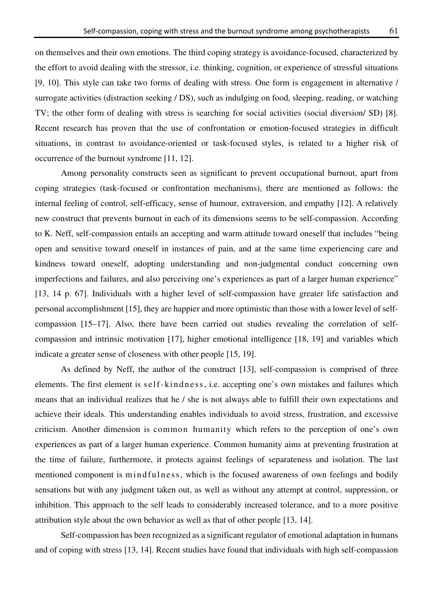on themselves and their own emotions. The third coping strategy is avoidance-focused, characterized by

the effort to avoid dealing with the stressor, i.e. thinking, cognition, or experience of stressful situations [9, 10]. This style can take two forms of dealing with stress. One form is engagement in alternative / surrogate activities (distraction seeking / DS), such as indulging on food, sleeping, reading, or watching TV; the other form of dealing with stress is searching for social activities (social diversion/ SD) [8]. Recent research has proven that the use of confrontation or emotion-focused strategies in difficult situations, in contrast to avoidance-oriented or task-focused styles, is related to a higher risk of occurrence of the burnout syndrome [11, 12].

Among personality constructs seen as significant to prevent occupational burnout, apart from coping strategies (task-focused or confrontation mechanisms), there are mentioned as follows: the internal feeling of control, self-efficacy, sense of humour, extraversion, and empathy [12]. A relatively new construct that prevents burnout in each of its dimensions seems to be self-compassion. According to K. Neff, self-compassion entails an accepting and warm attitude toward oneself that includes "being open and sensitive toward oneself in instances of pain, and at the same time experiencing care and kindness toward oneself, adopting understanding and non-judgmental conduct concerning own imperfections and failures, and also perceiving one's experiences as part of a larger human experience" [13, 14 p. 67]. Individuals with a higher level of self-compassion have greater life satisfaction and personal accomplishment [15], they are happier and more optimistic than those with a lower level of selfcompassion [15–17]. Also, there have been carried out studies revealing the correlation of selfcompassion and intrinsic motivation [17], higher emotional intelligence [18, 19] and variables which indicate a greater sense of closeness with other people [15, 19].

As defined by Neff, the author of the construct [13], self-compassion is comprised of three elements. The first element is self-kindness, i.e. accepting one's own mistakes and failures which means that an individual realizes that he / she is not always able to fulfill their own expectations and achieve their ideals. This understanding enables individuals to avoid stress, frustration, and excessive criticism. Another dimension is common humanity which refers to the perception of one's own experiences as part of a larger human experience. Common humanity aims at preventing frustration at the time of failure, furthermore, it protects against feelings of separateness and isolation. The last mentioned component is m ind fulness, which is the focused awareness of own feelings and bodily sensations but with any judgment taken out, as well as without any attempt at control, suppression, or inhibition. This approach to the self leads to considerably increased tolerance, and to a more positive attribution style about the own behavior as well as that of other people [13, 14].

Self-compassion has been recognized as a significant regulator of emotional adaptation in humans and of coping with stress [13, 14]. Recent studies have found that individuals with high self-compassion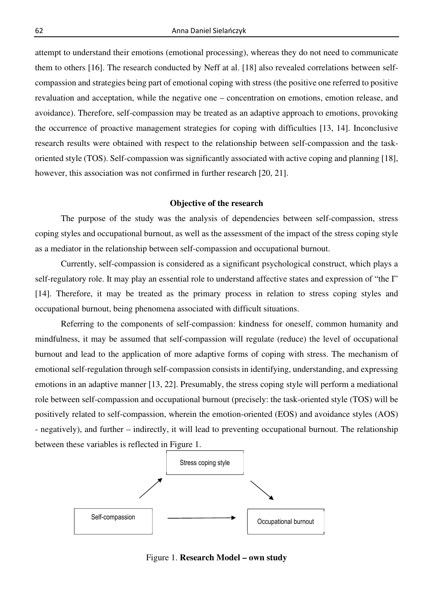attempt to understand their emotions (emotional processing), whereas they do not need to communicate them to others [16]. The research conducted by Neff at al. [18] also revealed correlations between selfcompassion and strategies being part of emotional coping with stress (the positive one referred to positive revaluation and acceptation, while the negative one – concentration on emotions, emotion release, and avoidance). Therefore, self-compassion may be treated as an adaptive approach to emotions, provoking the occurrence of proactive management strategies for coping with difficulties [13, 14]. Inconclusive research results were obtained with respect to the relationship between self-compassion and the taskoriented style (TOS). Self-compassion was significantly associated with active coping and planning [18], however, this association was not confirmed in further research [20, 21].

## **Objective of the research**

The purpose of the study was the analysis of dependencies between self-compassion, stress coping styles and occupational burnout, as well as the assessment of the impact of the stress coping style as a mediator in the relationship between self-compassion and occupational burnout.

Currently, self-compassion is considered as a significant psychological construct, which plays a self-regulatory role. It may play an essential role to understand affective states and expression of "the I" [14]. Therefore, it may be treated as the primary process in relation to stress coping styles and occupational burnout, being phenomena associated with difficult situations.

Referring to the components of self-compassion: kindness for oneself, common humanity and mindfulness, it may be assumed that self-compassion will regulate (reduce) the level of occupational burnout and lead to the application of more adaptive forms of coping with stress. The mechanism of emotional self-regulation through self-compassion consists in identifying, understanding, and expressing emotions in an adaptive manner [13, 22]. Presumably, the stress coping style will perform a mediational role between self-compassion and occupational burnout (precisely: the task-oriented style (TOS) will be positively related to self-compassion, wherein the emotion-oriented (EOS) and avoidance styles (AOS) - negatively), and further – indirectly, it will lead to preventing occupational burnout. The relationship between these variables is reflected in Figure 1.



Figure 1. **Research Model – own study**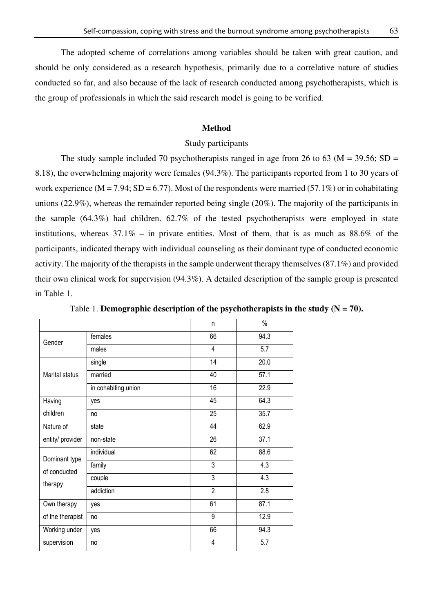The adopted scheme of correlations among variables should be taken with great caution, and should be only considered as a research hypothesis, primarily due to a correlative nature of studies conducted so far, and also because of the lack of research conducted among psychotherapists, which is the group of professionals in which the said research model is going to be verified.

#### **Method**

### Study participants

The study sample included 70 psychotherapists ranged in age from 26 to 63 ( $M = 39.56$ ; SD = 8.18), the overwhelming majority were females (94.3%). The participants reported from 1 to 30 years of work experience (M = 7.94; SD = 6.77). Most of the respondents were married (57.1%) or in cohabitating unions (22.9%), whereas the remainder reported being single (20%). The majority of the participants in the sample (64.3%) had children. 62.7% of the tested psychotherapists were employed in state institutions, whereas  $37.1\%$  – in private entities. Most of them, that is as much as  $88.6\%$  of the participants, indicated therapy with individual counseling as their dominant type of conducted economic activity. The majority of the therapists in the sample underwent therapy themselves (87.1%) and provided their own clinical work for supervision (94.3%). A detailed description of the sample group is presented in Table 1.

|                                 |                     | n              | $\%$ |
|---------------------------------|---------------------|----------------|------|
| Gender                          | females             | 66             | 94.3 |
|                                 | males               | 4              | 5.7  |
|                                 | single              | 14             | 20.0 |
| Marital status                  | married             | 40             | 57.1 |
|                                 | in cohabiting union | 16             | 22.9 |
| Having<br>children              | yes                 | 45             | 64.3 |
|                                 | no                  | 25             | 35.7 |
| Nature of<br>entity/ provider   | state               | 44             | 62.9 |
|                                 | non-state           | 26             | 37.1 |
| Dominant type                   | individual          | 62             | 88.6 |
| of conducted                    | family              | 3              | 4.3  |
| therapy                         | couple              | 3              | 4.3  |
|                                 | addiction           | $\overline{2}$ | 2.8  |
| Own therapy<br>of the therapist | yes                 | 61             | 87.1 |
|                                 | no                  | 9              | 12.9 |
| Working under<br>supervision    | yes                 | 66             | 94.3 |
|                                 | no                  | 4              | 5.7  |

Table 1. **Demographic description of the psychotherapists in the study**  $(N = 70)$ **.**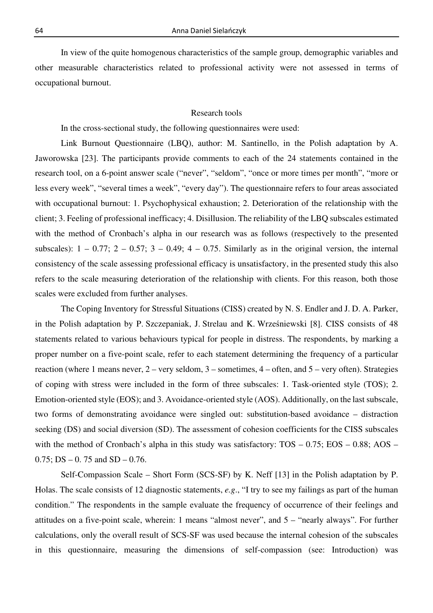In view of the quite homogenous characteristics of the sample group, demographic variables and other measurable characteristics related to professional activity were not assessed in terms of occupational burnout.

#### Research tools

In the cross-sectional study, the following questionnaires were used:

Link Burnout Questionnaire (LBQ), author: M. Santinello, in the Polish adaptation by A. Jaworowska [23]. The participants provide comments to each of the 24 statements contained in the research tool, on a 6-point answer scale ("never", "seldom", "once or more times per month", "more or less every week", "several times a week", "every day"). The questionnaire refers to four areas associated with occupational burnout: 1. Psychophysical exhaustion; 2. Deterioration of the relationship with the client; 3. Feeling of professional inefficacy; 4. Disillusion. The reliability of the LBQ subscales estimated with the method of Cronbach's alpha in our research was as follows (respectively to the presented subscales):  $1 - 0.77$ ;  $2 - 0.57$ ;  $3 - 0.49$ ;  $4 - 0.75$ . Similarly as in the original version, the internal consistency of the scale assessing professional efficacy is unsatisfactory, in the presented study this also refers to the scale measuring deterioration of the relationship with clients. For this reason, both those scales were excluded from further analyses.

The Coping Inventory for Stressful Situations (CISS) created by N. S. Endler and J. D. A. Parker, in the Polish adaptation by P. Szczepaniak, J. Strelau and K. Wrześniewski [8]. CISS consists of 48 statements related to various behaviours typical for people in distress. The respondents, by marking a proper number on a five-point scale, refer to each statement determining the frequency of a particular reaction (where 1 means never, 2 – very seldom, 3 – sometimes, 4 – often, and 5 – very often). Strategies of coping with stress were included in the form of three subscales: 1. Task-oriented style (TOS); 2. Emotion-oriented style (EOS); and 3. Avoidance-oriented style (AOS). Additionally, on the last subscale, two forms of demonstrating avoidance were singled out: substitution-based avoidance – distraction seeking (DS) and social diversion (SD). The assessment of cohesion coefficients for the CISS subscales with the method of Cronbach's alpha in this study was satisfactory: TOS – 0.75; EOS – 0.88; AOS –  $0.75$ ; DS  $- 0.75$  and SD  $- 0.76$ .

Self-Compassion Scale – Short Form (SCS-SF) by K. Neff [13] in the Polish adaptation by P. Holas. The scale consists of 12 diagnostic statements, *e.g*., "I try to see my failings as part of the human condition." The respondents in the sample evaluate the frequency of occurrence of their feelings and attitudes on a five-point scale, wherein: 1 means "almost never", and 5 – "nearly always". For further calculations, only the overall result of SCS-SF was used because the internal cohesion of the subscales in this questionnaire, measuring the dimensions of self-compassion (see: Introduction) was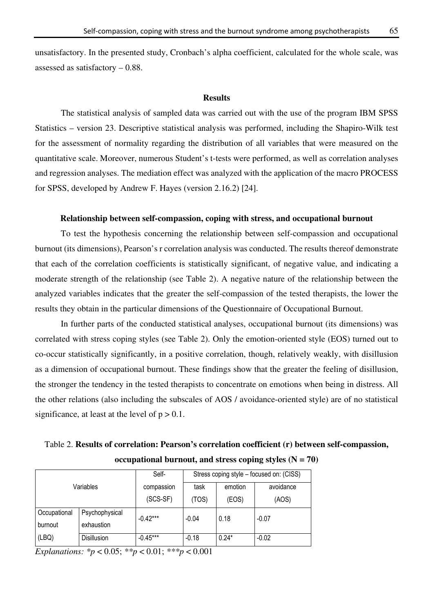unsatisfactory. In the presented study, Cronbach's alpha coefficient, calculated for the whole scale, was assessed as satisfactory – 0.88.

#### **Results**

The statistical analysis of sampled data was carried out with the use of the program IBM SPSS Statistics – version 23. Descriptive statistical analysis was performed, including the Shapiro-Wilk test for the assessment of normality regarding the distribution of all variables that were measured on the quantitative scale. Moreover, numerous Student's t-tests were performed, as well as correlation analyses and regression analyses. The mediation effect was analyzed with the application of the macro PROCESS for SPSS, developed by Andrew F. Hayes (version 2.16.2) [24].

#### **Relationship between self-compassion, coping with stress, and occupational burnout**

To test the hypothesis concerning the relationship between self-compassion and occupational burnout (its dimensions), Pearson's r correlation analysis was conducted. The results thereof demonstrate that each of the correlation coefficients is statistically significant, of negative value, and indicating a moderate strength of the relationship (see Table 2). A negative nature of the relationship between the analyzed variables indicates that the greater the self-compassion of the tested therapists, the lower the results they obtain in the particular dimensions of the Questionnaire of Occupational Burnout.

In further parts of the conducted statistical analyses, occupational burnout (its dimensions) was correlated with stress coping styles (see Table 2). Only the emotion-oriented style (EOS) turned out to co-occur statistically significantly, in a positive correlation, though, relatively weakly, with disillusion as a dimension of occupational burnout. These findings show that the greater the feeling of disillusion, the stronger the tendency in the tested therapists to concentrate on emotions when being in distress. All the other relations (also including the subscales of AOS / avoidance-oriented style) are of no statistical significance, at least at the level of  $p > 0.1$ .

Table 2. **Results of correlation: Pearson's correlation coefficient (r) between self-compassion,**  occupational burnout, and stress coping styles  $(N = 70)$ 

| Variables    |                    | Self-      | Stress coping style - focused on: (CISS) |         |           |  |
|--------------|--------------------|------------|------------------------------------------|---------|-----------|--|
|              |                    | compassion | task                                     | emotion | avoidance |  |
|              |                    | $(SCS-SF)$ | (TOS)                                    | (EOS)   | (AOS)     |  |
| Occupational | Psychophysical     | $-0.42***$ | $-0.04$                                  | 0.18    | $-0.07$   |  |
| burnout      | exhaustion         |            |                                          |         |           |  |
| (LBQ)        | <b>Disillusion</b> | $-0.45***$ | $-0.18$                                  | $0.24*$ | $-0.02$   |  |

*Explanations: \*p* < 0.05; *\*\*p* < 0.01; *\*\*\*p* < 0.001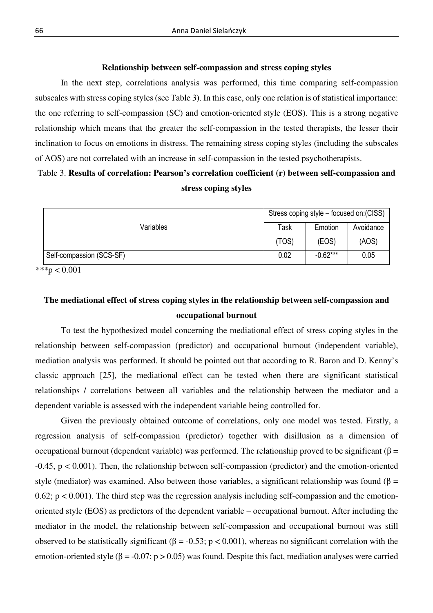#### **Relationship between self-compassion and stress coping styles**

In the next step, correlations analysis was performed, this time comparing self-compassion subscales with stress coping styles (see Table 3). In this case, only one relation is of statistical importance: the one referring to self-compassion (SC) and emotion-oriented style (EOS). This is a strong negative relationship which means that the greater the self-compassion in the tested therapists, the lesser their inclination to focus on emotions in distress. The remaining stress coping styles (including the subscales of AOS) are not correlated with an increase in self-compassion in the tested psychotherapists.

## Table 3. **Results of correlation: Pearson's correlation coefficient (r) between self-compassion and stress coping styles**

|                          | Stress coping style – focused on: (CISS) |            |           |  |
|--------------------------|------------------------------------------|------------|-----------|--|
| Variables                | Task                                     | Emotion    | Avoidance |  |
|                          | (TOS)                                    | (EOS)      | (AOS)     |  |
| Self-compassion (SCS-SF) | 0.02                                     | $-0.62***$ | 0.05      |  |

*\*\*\**p < 0.001

# **The mediational effect of stress coping styles in the relationship between self-compassion and occupational burnout**

To test the hypothesized model concerning the mediational effect of stress coping styles in the relationship between self-compassion (predictor) and occupational burnout (independent variable), mediation analysis was performed. It should be pointed out that according to R. Baron and D. Kenny's classic approach [25], the mediational effect can be tested when there are significant statistical relationships / correlations between all variables and the relationship between the mediator and a dependent variable is assessed with the independent variable being controlled for.

Given the previously obtained outcome of correlations, only one model was tested. Firstly, a regression analysis of self-compassion (predictor) together with disillusion as a dimension of occupational burnout (dependent variable) was performed. The relationship proved to be significant (β = -0.45, p < 0.001). Then, the relationship between self-compassion (predictor) and the emotion-oriented style (mediator) was examined. Also between those variables, a significant relationship was found ( $\beta$  = 0.62;  $p < 0.001$ ). The third step was the regression analysis including self-compassion and the emotionoriented style (EOS) as predictors of the dependent variable – occupational burnout. After including the mediator in the model, the relationship between self-compassion and occupational burnout was still observed to be statistically significant (β = -0.53; p < 0.001), whereas no significant correlation with the emotion-oriented style ( $\beta$  = -0.07; p > 0.05) was found. Despite this fact, mediation analyses were carried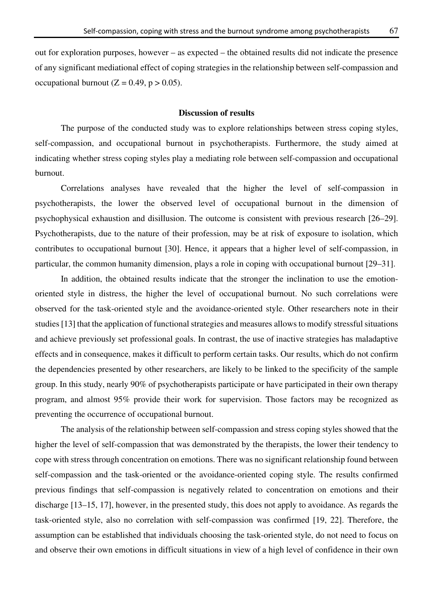out for exploration purposes, however – as expected – the obtained results did not indicate the presence of any significant mediational effect of coping strategies in the relationship between self-compassion and occupational burnout ( $Z = 0.49$ ,  $p > 0.05$ ).

#### **Discussion of results**

The purpose of the conducted study was to explore relationships between stress coping styles, self-compassion, and occupational burnout in psychotherapists. Furthermore, the study aimed at indicating whether stress coping styles play a mediating role between self-compassion and occupational burnout.

Correlations analyses have revealed that the higher the level of self-compassion in psychotherapists, the lower the observed level of occupational burnout in the dimension of psychophysical exhaustion and disillusion. The outcome is consistent with previous research [26–29]. Psychotherapists, due to the nature of their profession, may be at risk of exposure to isolation, which contributes to occupational burnout [30]. Hence, it appears that a higher level of self-compassion, in particular, the common humanity dimension, plays a role in coping with occupational burnout [29–31].

In addition, the obtained results indicate that the stronger the inclination to use the emotionoriented style in distress, the higher the level of occupational burnout. No such correlations were observed for the task-oriented style and the avoidance-oriented style. Other researchers note in their studies [13] that the application of functional strategies and measures allows to modify stressful situations and achieve previously set professional goals. In contrast, the use of inactive strategies has maladaptive effects and in consequence, makes it difficult to perform certain tasks. Our results, which do not confirm the dependencies presented by other researchers, are likely to be linked to the specificity of the sample group. In this study, nearly 90% of psychotherapists participate or have participated in their own therapy program, and almost 95% provide their work for supervision. Those factors may be recognized as preventing the occurrence of occupational burnout.

The analysis of the relationship between self-compassion and stress coping styles showed that the higher the level of self-compassion that was demonstrated by the therapists, the lower their tendency to cope with stress through concentration on emotions. There was no significant relationship found between self-compassion and the task-oriented or the avoidance-oriented coping style. The results confirmed previous findings that self-compassion is negatively related to concentration on emotions and their discharge [13–15, 17], however, in the presented study, this does not apply to avoidance. As regards the task-oriented style, also no correlation with self-compassion was confirmed [19, 22]. Therefore, the assumption can be established that individuals choosing the task-oriented style, do not need to focus on and observe their own emotions in difficult situations in view of a high level of confidence in their own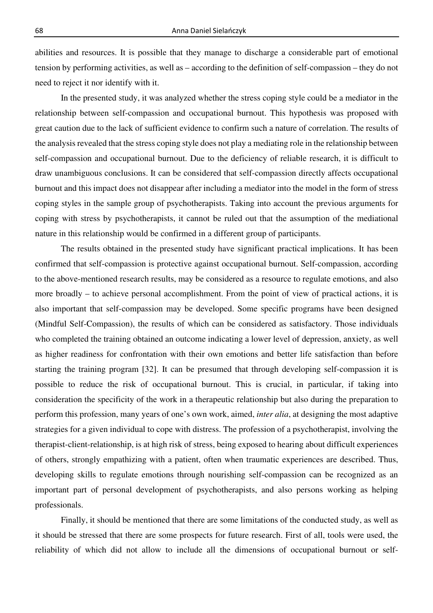abilities and resources. It is possible that they manage to discharge a considerable part of emotional tension by performing activities, as well as – according to the definition of self-compassion – they do not need to reject it nor identify with it.

In the presented study, it was analyzed whether the stress coping style could be a mediator in the relationship between self-compassion and occupational burnout. This hypothesis was proposed with great caution due to the lack of sufficient evidence to confirm such a nature of correlation. The results of the analysis revealed that the stress coping style does not play a mediating role in the relationship between self-compassion and occupational burnout. Due to the deficiency of reliable research, it is difficult to draw unambiguous conclusions. It can be considered that self-compassion directly affects occupational burnout and this impact does not disappear after including a mediator into the model in the form of stress coping styles in the sample group of psychotherapists. Taking into account the previous arguments for coping with stress by psychotherapists, it cannot be ruled out that the assumption of the mediational nature in this relationship would be confirmed in a different group of participants.

The results obtained in the presented study have significant practical implications. It has been confirmed that self-compassion is protective against occupational burnout. Self-compassion, according to the above-mentioned research results, may be considered as a resource to regulate emotions, and also more broadly – to achieve personal accomplishment. From the point of view of practical actions, it is also important that self-compassion may be developed. Some specific programs have been designed (Mindful Self-Compassion), the results of which can be considered as satisfactory. Those individuals who completed the training obtained an outcome indicating a lower level of depression, anxiety, as well as higher readiness for confrontation with their own emotions and better life satisfaction than before starting the training program [32]. It can be presumed that through developing self-compassion it is possible to reduce the risk of occupational burnout. This is crucial, in particular, if taking into consideration the specificity of the work in a therapeutic relationship but also during the preparation to perform this profession, many years of one's own work, aimed, *inter alia*, at designing the most adaptive strategies for a given individual to cope with distress. The profession of a psychotherapist, involving the therapist-client-relationship, is at high risk of stress, being exposed to hearing about difficult experiences of others, strongly empathizing with a patient, often when traumatic experiences are described. Thus, developing skills to regulate emotions through nourishing self-compassion can be recognized as an important part of personal development of psychotherapists, and also persons working as helping professionals.

Finally, it should be mentioned that there are some limitations of the conducted study, as well as it should be stressed that there are some prospects for future research. First of all, tools were used, the reliability of which did not allow to include all the dimensions of occupational burnout or self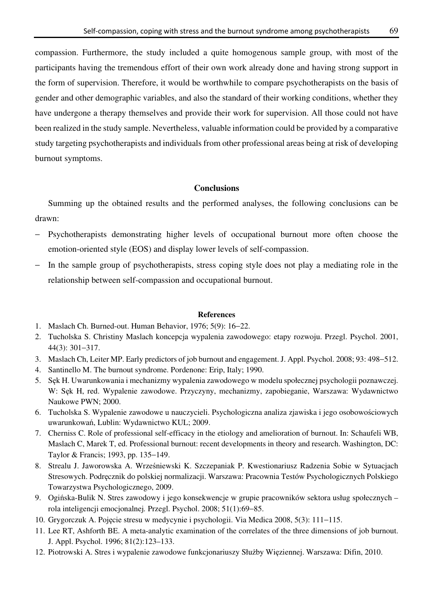compassion. Furthermore, the study included a quite homogenous sample group, with most of the participants having the tremendous effort of their own work already done and having strong support in the form of supervision. Therefore, it would be worthwhile to compare psychotherapists on the basis of gender and other demographic variables, and also the standard of their working conditions, whether they have undergone a therapy themselves and provide their work for supervision. All those could not have been realized in the study sample. Nevertheless, valuable information could be provided by a comparative study targeting psychotherapists and individuals from other professional areas being at risk of developing burnout symptoms.

## **Conclusions**

Summing up the obtained results and the performed analyses, the following conclusions can be drawn:

- − Psychotherapists demonstrating higher levels of occupational burnout more often choose the emotion-oriented style (EOS) and display lower levels of self-compassion.
- − In the sample group of psychotherapists, stress coping style does not play a mediating role in the relationship between self-compassion and occupational burnout.

#### **References**

- 1. Maslach Ch. Burned-out. Human Behavior, 1976; 5(9): 16−22.
- 2. Tucholska S. Christiny Maslach koncepcja wypalenia zawodowego: etapy rozwoju. Przegl. Psychol. 2001, 44(3): 301−317.
- 3. Maslach Ch, Leiter MP. Early predictors of job burnout and engagement. J. Appl. Psychol. 2008; 93: 498−512.
- 4. Santinello M. The burnout syndrome. Pordenone: Erip, Italy; 1990.
- 5. Sęk H. Uwarunkowania i mechanizmy wypalenia zawodowego w modelu społecznej psychologii poznawczej. W: Sęk H, red. Wypalenie zawodowe. Przyczyny, mechanizmy, zapobieganie, Warszawa: Wydawnictwo Naukowe PWN; 2000.
- 6. Tucholska S. Wypalenie zawodowe u nauczycieli. Psychologiczna analiza zjawiska i jego osobowościowych uwarunkowań, Lublin: Wydawnictwo KUL; 2009.
- 7. Cherniss C. Role of professional self-efficacy in the etiology and amelioration of burnout. In: Schaufeli WB, Maslach C, Marek T, ed. Professional burnout: recent developments in theory and research. Washington, DC: Taylor & Francis; 1993, pp. 135−149.
- 8. Strealu J. Jaworowska A. Wrześniewski K. Szczepaniak P. Kwestionariusz Radzenia Sobie w Sytuacjach Stresowych. Podręcznik do polskiej normalizacji. Warszawa: Pracownia Testów Psychologicznych Polskiego Towarzystwa Psychologicznego, 2009.
- 9. Ogińska-Bulik N. Stres zawodowy i jego konsekwencje w grupie pracowników sektora usług społecznych rola inteligencji emocjonalnej*.* Przegl. Psychol. 2008; 51(1):69−85.
- 10. Grygorczuk A. Pojęcie stresu w medycynie i psychologii. Via Medica 2008, 5(3): 111−115.
- 11. Lee RT, Ashforth BE. A meta-analytic examination of the correlates of the three dimensions of job burnout. J. Appl. Psychol. 1996; 81(2):123–133.
- 12. Piotrowski A. Stres i wypalenie zawodowe funkcjonariuszy Służby Więziennej. Warszawa: Difin, 2010.